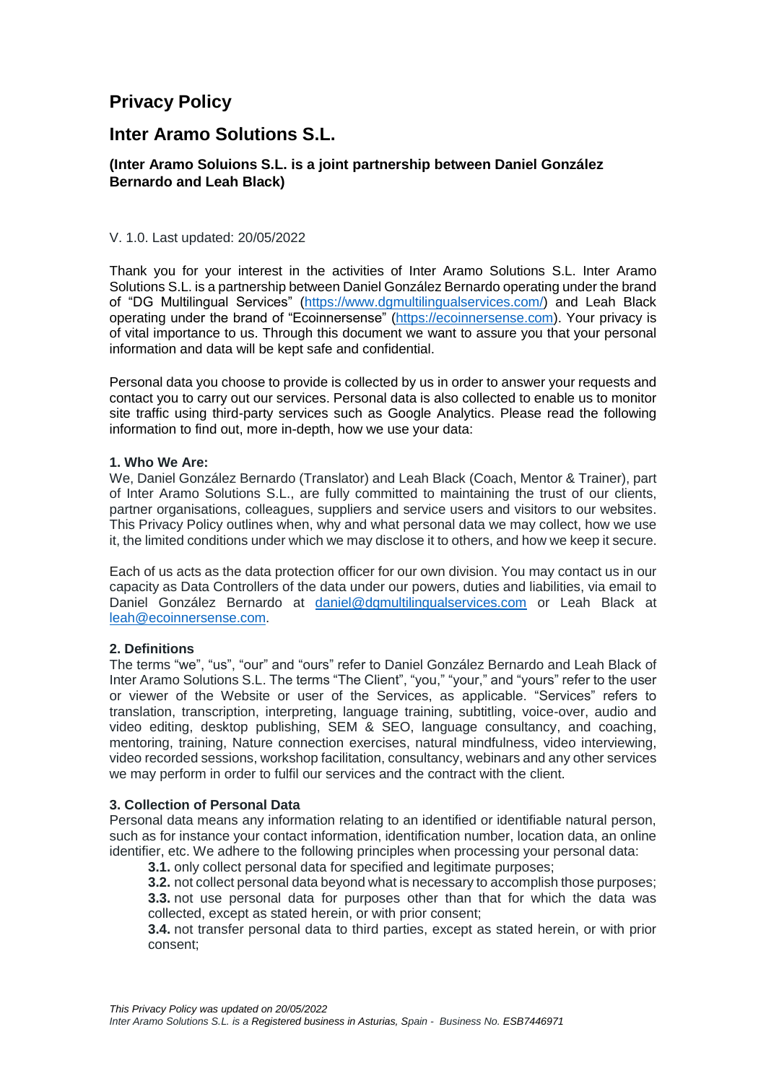# **Privacy Policy**

## **Inter Aramo Solutions S.L.**

## **(Inter Aramo Soluions S.L. is a joint partnership between Daniel González Bernardo and Leah Black)**

## V. 1.0. Last updated: 20/05/2022

Thank you for your interest in the activities of Inter Aramo Solutions S.L. Inter Aramo Solutions S.L. is a partnership between Daniel González Bernardo operating under the brand of "DG Multilingual Services" [\(https://www.dgmultilingualservices.com/\)](https://www.dgmultilingualservices.com/) and Leah Black operating under the brand of "Ecoinnersense" [\(https://ecoinnersense.com\)](https://ecoinnersense.com/). Your privacy is of vital importance to us. Through this document we want to assure you that your personal information and data will be kept safe and confidential.

Personal data you choose to provide is collected by us in order to answer your requests and contact you to carry out our services. Personal data is also collected to enable us to monitor site traffic using third-party services such as Google Analytics. Please read the following information to find out, more in-depth, how we use your data:

#### **1. Who We Are:**

We, Daniel González Bernardo (Translator) and Leah Black (Coach, Mentor & Trainer), part of Inter Aramo Solutions S.L., are fully committed to maintaining the trust of our clients, partner organisations, colleagues, suppliers and service users and visitors to our websites. This Privacy Policy outlines when, why and what personal data we may collect, how we use it, the limited conditions under which we may disclose it to others, and how we keep it secure.

Each of us acts as the data protection officer for our own division. You may contact us in our capacity as Data Controllers of the data under our powers, duties and liabilities, via email to Daniel González Bernardo at [daniel@dgmultilingualservices.com](mailto:daniel@dgmultilingualservices.com) or Leah Black at [leah@ecoinnersense.com.](mailto:leah@ecoinnersense.com)

## **2. Definitions**

The terms "we", "us", "our" and "ours" refer to Daniel González Bernardo and Leah Black of Inter Aramo Solutions S.L. The terms "The Client", "you," "your," and "yours" refer to the user or viewer of the Website or user of the Services, as applicable. "Services" refers to translation, transcription, interpreting, language training, subtitling, voice-over, audio and video editing, desktop publishing, SEM & SEO, language consultancy, and coaching, mentoring, training, Nature connection exercises, natural mindfulness, video interviewing, video recorded sessions, workshop facilitation, consultancy, webinars and any other services we may perform in order to fulfil our services and the contract with the client.

## **3. Collection of Personal Data**

Personal data means any information relating to an identified or identifiable natural person, such as for instance your contact information, identification number, location data, an online identifier, etc. We adhere to the following principles when processing your personal data:

**3.1.** only collect personal data for specified and legitimate purposes;

**3.2.** not collect personal data beyond what is necessary to accomplish those purposes; **3.3.** not use personal data for purposes other than that for which the data was collected, except as stated herein, or with prior consent;

**3.4.** not transfer personal data to third parties, except as stated herein, or with prior consent;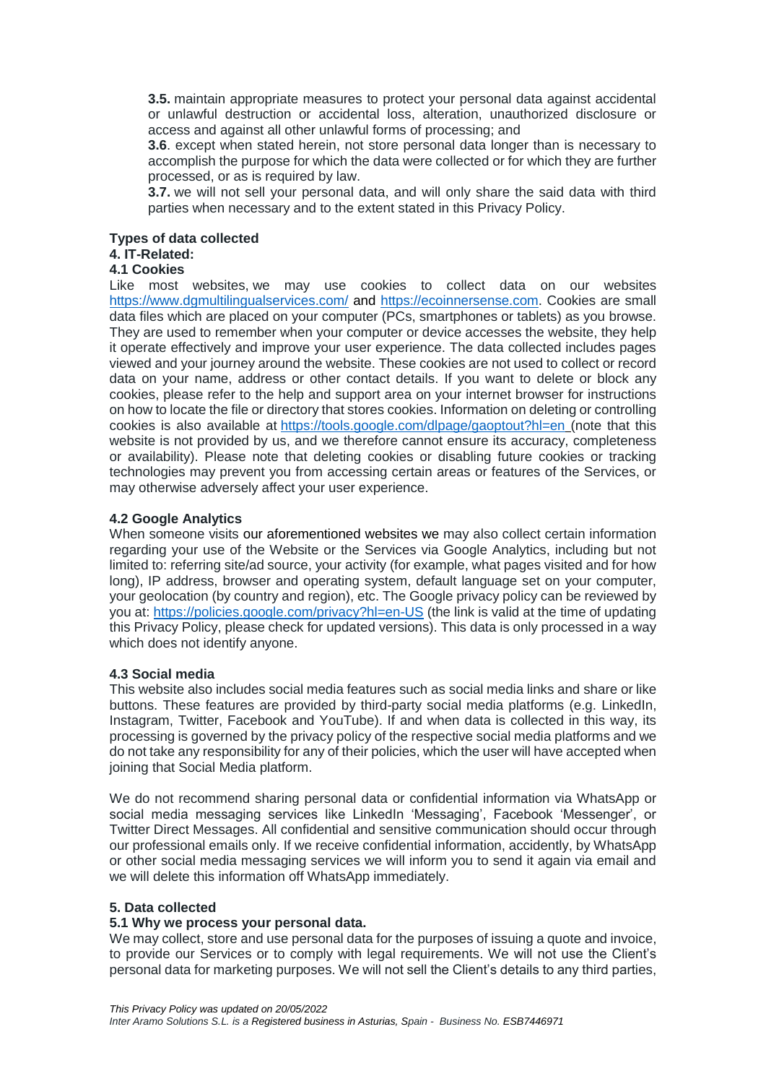**3.5.** maintain appropriate measures to protect your personal data against accidental or unlawful destruction or accidental loss, alteration, unauthorized disclosure or access and against all other unlawful forms of processing; and

**3.6**. except when stated herein, not store personal data longer than is necessary to accomplish the purpose for which the data were collected or for which they are further processed, or as is required by law.

**3.7.** we will not sell your personal data, and will only share the said data with third parties when necessary and to the extent stated in this Privacy Policy.

### **Types of data collected**

## **4. IT-Related:**

## **4.1 Cookies**

Like most websites, we may use cookies to collect data on our websites <https://www.dgmultilingualservices.com/> and [https://ecoinnersense.com.](https://ecoinnersense.com/) Cookies are small data files which are placed on your computer (PCs, smartphones or tablets) as you browse. They are used to remember when your computer or device accesses the website, they help it operate effectively and improve your user experience. The data collected includes pages viewed and your journey around the website. These cookies are not used to collect or record data on your name, address or other contact details. If you want to delete or block any cookies, please refer to the help and support area on your internet browser for instructions on how to locate the file or directory that stores cookies. Information on deleting or controlling cookies is also available at <https://tools.google.com/dlpage/gaoptout?hl=en> (note that this website is not provided by us, and we therefore cannot ensure its accuracy, completeness or availability). Please note that deleting cookies or disabling future cookies or tracking technologies may prevent you from accessing certain areas or features of the Services, or may otherwise adversely affect your user experience.

#### **4.2 Google Analytics**

When someone visits our aforementioned websites we may also collect certain information regarding your use of the Website or the Services via Google Analytics, including but not limited to: referring site/ad source, your activity (for example, what pages visited and for how long), IP address, browser and operating system, default language set on your computer, your geolocation (by country and region), etc. The Google privacy policy can be reviewed by you at: <https://policies.google.com/privacy?hl=en-US> (the link is valid at the time of updating this Privacy Policy, please check for updated versions). This data is only processed in a way which does not identify anyone.

#### **4.3 Social media**

This website also includes social media features such as social media links and share or like buttons. These features are provided by third-party social media platforms (e.g. LinkedIn, Instagram, Twitter, Facebook and YouTube). If and when data is collected in this way, its processing is governed by the privacy policy of the respective social media platforms and we do not take any responsibility for any of their policies, which the user will have accepted when joining that Social Media platform.

We do not recommend sharing personal data or confidential information via WhatsApp or social media messaging services like LinkedIn 'Messaging', Facebook 'Messenger', or Twitter Direct Messages. All confidential and sensitive communication should occur through our professional emails only. If we receive confidential information, accidently, by WhatsApp or other social media messaging services we will inform you to send it again via email and we will delete this information off WhatsApp immediately.

### **5. Data collected**

#### **5.1 Why we process your personal data.**

We may collect, store and use personal data for the purposes of issuing a quote and invoice, to provide our Services or to comply with legal requirements. We will not use the Client's personal data for marketing purposes. We will not sell the Client's details to any third parties,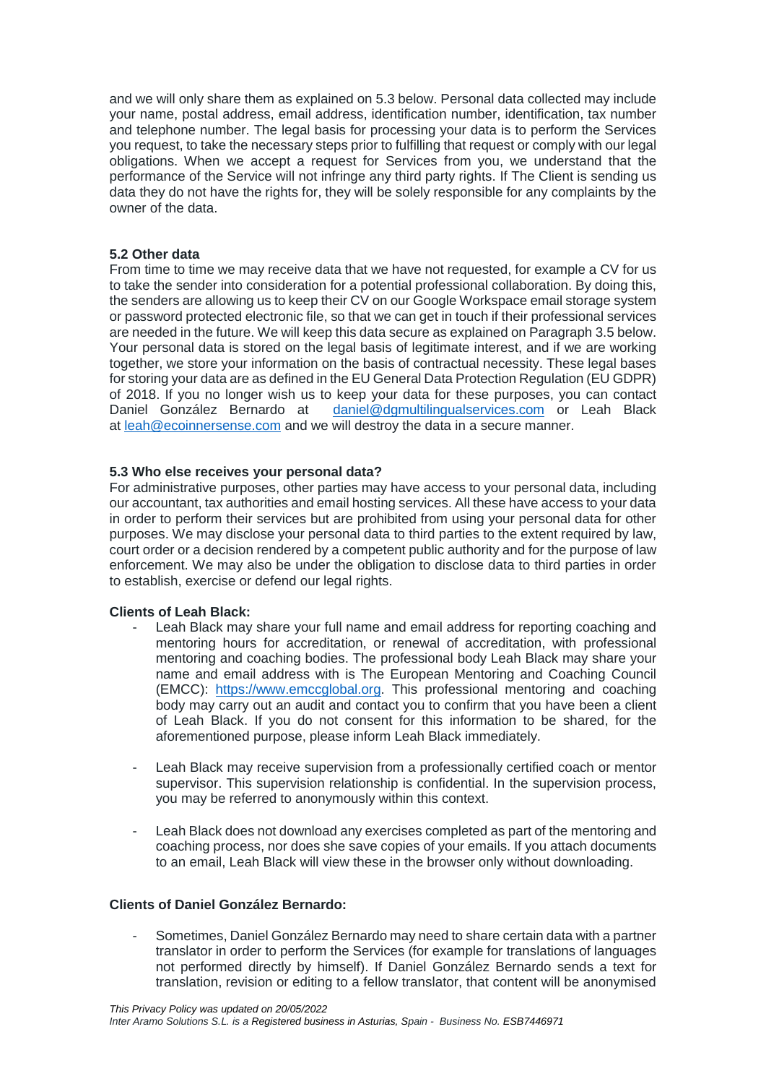and we will only share them as explained on 5.3 below. Personal data collected may include your name, postal address, email address, identification number, identification, tax number and telephone number. The legal basis for processing your data is to perform the Services you request, to take the necessary steps prior to fulfilling that request or comply with our legal obligations. When we accept a request for Services from you, we understand that the performance of the Service will not infringe any third party rights. If The Client is sending us data they do not have the rights for, they will be solely responsible for any complaints by the owner of the data.

## **5.2 Other data**

From time to time we may receive data that we have not requested, for example a CV for us to take the sender into consideration for a potential professional collaboration. By doing this, the senders are allowing us to keep their CV on our Google Workspace email storage system or password protected electronic file, so that we can get in touch if their professional services are needed in the future. We will keep this data secure as explained on Paragraph 3.5 below. Your personal data is stored on the legal basis of legitimate interest, and if we are working together, we store your information on the basis of contractual necessity. These legal bases for storing your data are as defined in the EU General Data Protection Regulation (EU GDPR) of 2018. If you no longer wish us to keep your data for these purposes, you can contact Daniel González Bernardo at [daniel@dgmultilingualservices.com](mailto:daniel@dgmultilingualservices.com) or Leah Black at [leah@ecoinnersense.com](mailto:leah@ecoinnersense.com) and we will destroy the data in a secure manner.

## **5.3 Who else receives your personal data?**

For administrative purposes, other parties may have access to your personal data, including our accountant, tax authorities and email hosting services. All these have access to your data in order to perform their services but are prohibited from using your personal data for other purposes. We may disclose your personal data to third parties to the extent required by law, court order or a decision rendered by a competent public authority and for the purpose of law enforcement. We may also be under the obligation to disclose data to third parties in order to establish, exercise or defend our legal rights.

## **Clients of Leah Black:**

- Leah Black may share your full name and email address for reporting coaching and mentoring hours for accreditation, or renewal of accreditation, with professional mentoring and coaching bodies. The professional body Leah Black may share your name and email address with is The European Mentoring and Coaching Council (EMCC): [https://www.emccglobal.org.](https://www.emccglobal.org/) This professional mentoring and coaching body may carry out an audit and contact you to confirm that you have been a client of Leah Black. If you do not consent for this information to be shared, for the aforementioned purpose, please inform Leah Black immediately.
- Leah Black may receive supervision from a professionally certified coach or mentor supervisor. This supervision relationship is confidential. In the supervision process, you may be referred to anonymously within this context.
- Leah Black does not download any exercises completed as part of the mentoring and coaching process, nor does she save copies of your emails. If you attach documents to an email, Leah Black will view these in the browser only without downloading.

## **Clients of Daniel González Bernardo:**

- Sometimes, Daniel González Bernardo may need to share certain data with a partner translator in order to perform the Services (for example for translations of languages not performed directly by himself). If Daniel González Bernardo sends a text for translation, revision or editing to a fellow translator, that content will be anonymised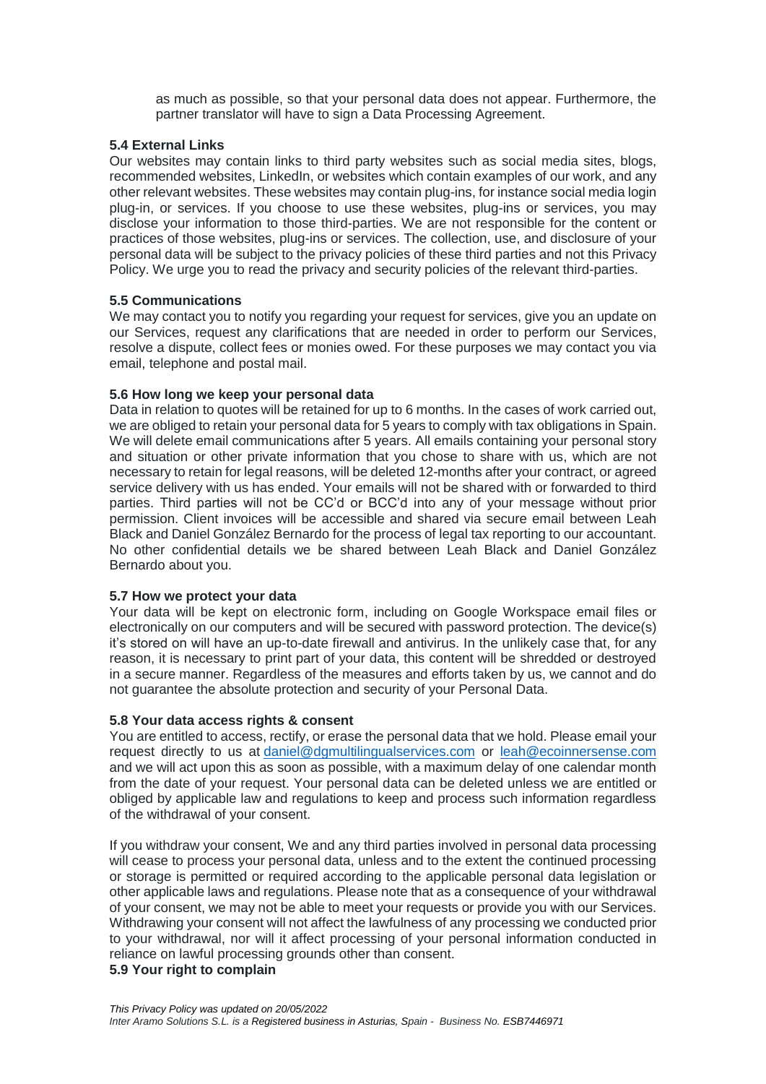as much as possible, so that your personal data does not appear. Furthermore, the partner translator will have to sign a Data Processing Agreement.

## **5.4 External Links**

Our websites may contain links to third party websites such as social media sites, blogs, recommended websites, LinkedIn, or websites which contain examples of our work, and any other relevant websites. These websites may contain plug-ins, for instance social media login plug-in, or services. If you choose to use these websites, plug-ins or services, you may disclose your information to those third-parties. We are not responsible for the content or practices of those websites, plug-ins or services. The collection, use, and disclosure of your personal data will be subject to the privacy policies of these third parties and not this Privacy Policy. We urge you to read the privacy and security policies of the relevant third-parties.

## **5.5 Communications**

We may contact you to notify you regarding your request for services, give you an update on our Services, request any clarifications that are needed in order to perform our Services, resolve a dispute, collect fees or monies owed. For these purposes we may contact you via email, telephone and postal mail.

## **5.6 How long we keep your personal data**

Data in relation to quotes will be retained for up to 6 months. In the cases of work carried out, we are obliged to retain your personal data for 5 years to comply with tax obligations in Spain. We will delete email communications after 5 years. All emails containing your personal story and situation or other private information that you chose to share with us, which are not necessary to retain for legal reasons, will be deleted 12-months after your contract, or agreed service delivery with us has ended. Your emails will not be shared with or forwarded to third parties. Third parties will not be CC'd or BCC'd into any of your message without prior permission. Client invoices will be accessible and shared via secure email between Leah Black and Daniel González Bernardo for the process of legal tax reporting to our accountant. No other confidential details we be shared between Leah Black and Daniel González Bernardo about you.

## **5.7 How we protect your data**

Your data will be kept on electronic form, including on Google Workspace email files or electronically on our computers and will be secured with password protection. The device(s) it's stored on will have an up-to-date firewall and antivirus. In the unlikely case that, for any reason, it is necessary to print part of your data, this content will be shredded or destroyed in a secure manner. Regardless of the measures and efforts taken by us, we cannot and do not guarantee the absolute protection and security of your Personal Data.

## **5.8 Your data access rights & consent**

You are entitled to access, rectify, or erase the personal data that we hold. Please email your request directly to us at [daniel@dgmultilingualservices.com](mailto:daniel@dgmultilingualservices.com) or [leah@ecoinnersense.com](mailto:leah@ecoinnersense.com) and we will act upon this as soon as possible, with a maximum delay of one calendar month from the date of your request. Your personal data can be deleted unless we are entitled or obliged by applicable law and regulations to keep and process such information regardless of the withdrawal of your consent.

If you withdraw your consent, We and any third parties involved in personal data processing will cease to process your personal data, unless and to the extent the continued processing or storage is permitted or required according to the applicable personal data legislation or other applicable laws and regulations. Please note that as a consequence of your withdrawal of your consent, we may not be able to meet your requests or provide you with our Services. Withdrawing your consent will not affect the lawfulness of any processing we conducted prior to your withdrawal, nor will it affect processing of your personal information conducted in reliance on lawful processing grounds other than consent.

## **5.9 Your right to complain**